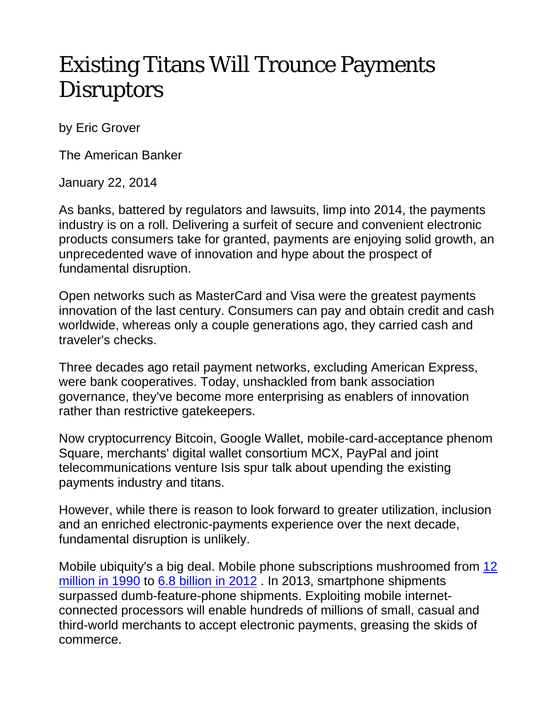## Existing Titans Will Trounce Payments **Disruptors**

by Eric Grover

The American Banker

January 22, 2014

As banks, battered by regulators and lawsuits, limp into 2014, the payments industry is on a roll. Delivering a surfeit of secure and convenient electronic products consumers take for granted, payments are enjoying solid growth, an unprecedented wave of innovation and hype about the prospect of fundamental disruption.

Open networks such as MasterCard and Visa were the greatest payments innovation of the last century. Consumers can pay and obtain credit and cash worldwide, whereas only a couple generations ago, they carried cash and traveler's checks.

Three decades ago retail payment networks, excluding American Express, were bank cooperatives. Today, unshackled from bank association governance, they've become more enterprising as enablers of innovation rather than restrictive gatekeepers.

Now cryptocurrency Bitcoin, Google Wallet, mobile-card-acceptance phenom Square, merchants' digital wallet consortium MCX, PayPal and joint telecommunications venture Isis spur talk about upending the existing payments industry and titans.

However, while there is reason to look forward to greater utilization, inclusion and an enriched electronic-payments experience over the next decade, fundamental disruption is unlikely.

Mobile ubiquity's a big deal. Mobile phone subscriptions mushroomed from 12 million in 1990 to 6.8 billion in 2012 . In 2013, smartphone shipments surpassed dumb-feature-phone shipments. Exploiting mobile internetconnected processors will enable hundreds of millions of small, casual and third-world merchants to accept electronic payments, greasing the skids of commerce.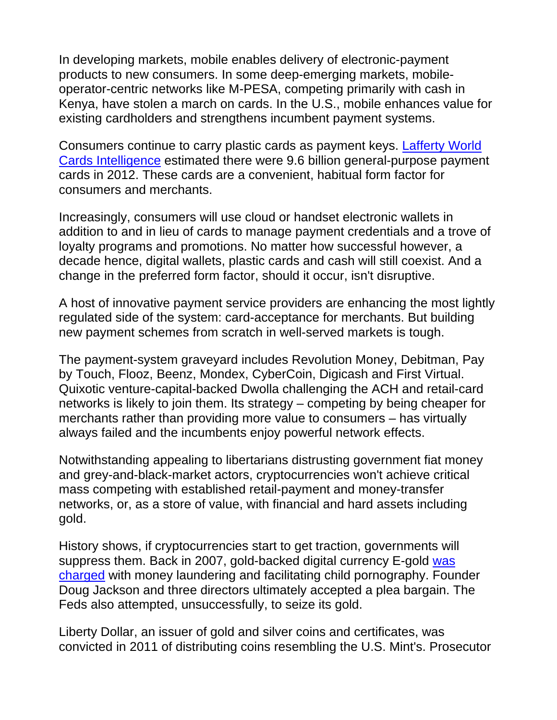In developing markets, mobile enables delivery of electronic-payment products to new consumers. In some deep-emerging markets, mobileoperator-centric networks like M-PESA, competing primarily with cash in Kenya, have stolen a march on cards. In the U.S., mobile enhances value for existing cardholders and strengthens incumbent payment systems.

Consumers continue to carry plastic cards as payment keys. Lafferty World Cards Intelligence estimated there were 9.6 billion general-purpose payment cards in 2012. These cards are a convenient, habitual form factor for consumers and merchants.

Increasingly, consumers will use cloud or handset electronic wallets in addition to and in lieu of cards to manage payment credentials and a trove of loyalty programs and promotions. No matter how successful however, a decade hence, digital wallets, plastic cards and cash will still coexist. And a change in the preferred form factor, should it occur, isn't disruptive.

A host of innovative payment service providers are enhancing the most lightly regulated side of the system: card-acceptance for merchants. But building new payment schemes from scratch in well-served markets is tough.

The payment-system graveyard includes Revolution Money, Debitman, Pay by Touch, Flooz, Beenz, Mondex, CyberCoin, Digicash and First Virtual. Quixotic venture-capital-backed Dwolla challenging the ACH and retail-card networks is likely to join them. Its strategy – competing by being cheaper for merchants rather than providing more value to consumers – has virtually always failed and the incumbents enjoy powerful network effects.

Notwithstanding appealing to libertarians distrusting government fiat money and grey-and-black-market actors, cryptocurrencies won't achieve critical mass competing with established retail-payment and money-transfer networks, or, as a store of value, with financial and hard assets including gold.

History shows, if cryptocurrencies start to get traction, governments will suppress them. Back in 2007, gold-backed digital currency E-gold was charged with money laundering and facilitating child pornography. Founder Doug Jackson and three directors ultimately accepted a plea bargain. The Feds also attempted, unsuccessfully, to seize its gold.

Liberty Dollar, an issuer of gold and silver coins and certificates, was convicted in 2011 of distributing coins resembling the U.S. Mint's. Prosecutor